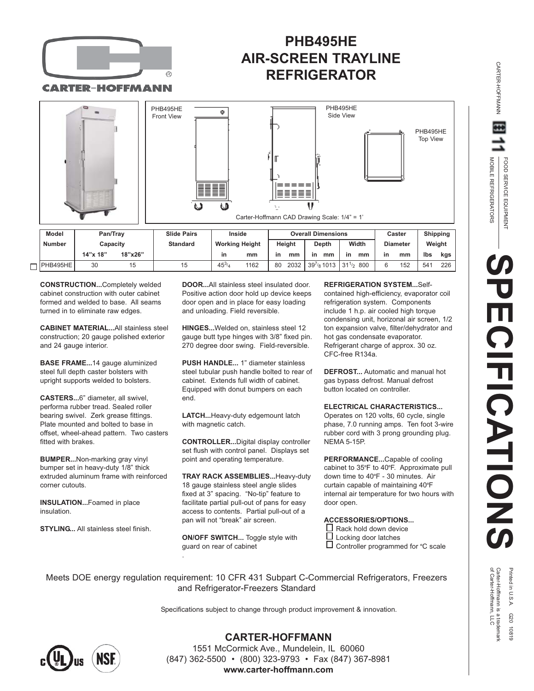

CARTER-HOFFMANN

# **PHB495HE AIR-SCREEN TRAYLINE REFRIGERATOR**



| Model           | Pan/Trav<br>Capacitv |         | <b>Slide Pairs</b> | Inside<br><b>Working Height</b> |      | <b>Overall Dimensions</b> |      |                                   |       |    | Caster          |     | <b>Shipping</b> |     |
|-----------------|----------------------|---------|--------------------|---------------------------------|------|---------------------------|------|-----------------------------------|-------|----|-----------------|-----|-----------------|-----|
| <b>Number</b>   |                      |         | <b>Standard</b>    |                                 |      | Height                    |      | <b>Depth</b>                      | Width |    | <b>Diameter</b> |     | Weight          |     |
|                 | 14"x 18"             | 18"x26" |                    | in                              | mm   | in                        | mm   | in<br>mm                          | -in   | mm | <b>in</b>       | mm  | lbs             | kgs |
| $\Box$ PHB495HE | 30                   | 15      | 15                 | $45^{3}$                        | 1162 | 80                        | 2032 | $39^{7}_{8}$ 1013 $131^{1/2}$ 800 |       |    |                 | 152 | 541             | 226 |

**CONSTRUCTION...**Completely welded cabinet construction with outer cabinet formed and welded to base. All seams turned in to eliminate raw edges.

**CABINET MATERIAL...**All stainless steel construction; 20 gauge polished exterior and 24 gauge interior.

**BASE FRAME...**14 gauge aluminized steel full depth caster bolsters with upright supports welded to bolsters.

**CASTERS...**6" diameter, all swivel, performa rubber tread. Sealed roller bearing swivel. Zerk grease fittings. Plate mounted and bolted to base in offset, wheel-ahead pattern. Two casters fitted with brakes.

**BUMPER...**Non-marking gray vinyl bumper set in heavy-duty 1/8" thick extruded aluminum frame with reinforced corner cutouts.

**INSULATION...**Foamed in place insulation.

**STYLING...** All stainless steel finish.

**DOOR...**All stainless steel insulated door. Positive action door hold up device keeps door open and in place for easy loading and unloading. Field reversible.

**HINGES...**Welded on, stainless steel 12 gauge butt type hinges with 3/8" fixed pin. 270 degree door swing. Field-reversible.

**PUSH HANDLE...** 1" diameter stainless steel tubular push handle bolted to rear of cabinet. Extends full width of cabinet. Equipped with donut bumpers on each end.

**LATCH...**Heavy-duty edgemount latch with magnetic catch.

**CONTROLLER...**Digital display controller set flush with control panel. Displays set point and operating temperature.

**TRAY RACK ASSEMBLIES...**Heavy-duty 18 gauge stainless steel angle slides fixed at 3" spacing. "No-tip" feature to facilitate partial pull-out of pans for easy access to contents. Partial pull-out of a pan will not "break" air screen.

**ON/OFF SWITCH...** Toggle style with guard on rear of cabinet

.

**REFRIGERATION SYSTEM...**Self-

contained high-efficiency, evaporator coil refrigeration system. Components include 1 h.p. air cooled high torque condensing unit, horizonal air screen, 1/2 ton expansion valve, filter/dehydrator and hot gas condensate evaporator. Refrigerant charge of approx. 30 oz. CFC-free R134a.

**DEFROST...** Automatic and manual hot gas bypass defrost. Manual defrost button located on controller.

**ELECTRICAL CHARACTERISTICS...** Operates on 120 volts, 60 cycle, single phase, 7.0 running amps. Ten foot 3-wire rubber cord with 3 prong grounding plug. NEMA 5-15P.

**PERFORMANCE...**Capable of cooling cabinet to 35°F to 40°F. Approximate pull down time to 40 **O** F - 30 minutes. Air curtain capable of maintaining 40 **O** F internal air temperature for two hours with door open.

**ACCESSORIES/OPTIONS...**

- $\Box$  Rack hold down device  $\square$  Locking door latches
- Controller programmed for °C scale

Meets DOE energy regulation requirement: 10 CFR 431 Subpart C-Commercial Refrigerators, Freezers and Refrigerator-Freezers Standard

Specifications subject to change through product improvement & innovation.



**CARTER-HOFFMANN**

1551 McCormick Ave., Mundelein, IL 60060 (847) 362-5500 • (800) 323-9793 • Fax (847) 367-8981 **www.carter-hoffmann.com**

CARTER-HOFFMANN

CARTER-HOFFMANN

Printed in U.S.A. G20 10819<br>Carter-Hoffmann is a trademark<br>of Carter-Hoffmann, LLC